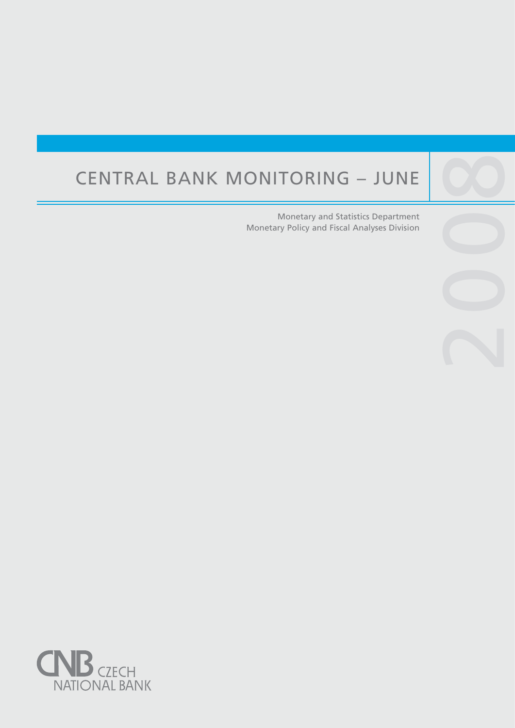# CENTRAL BANK MONITORING – JUNE

Central banks are not universities and one would

purpose, such as, to lay the ground for the satisfac-

Monetary and Statistics Department Monetary Policy and Fiscal Analyses Division

2009

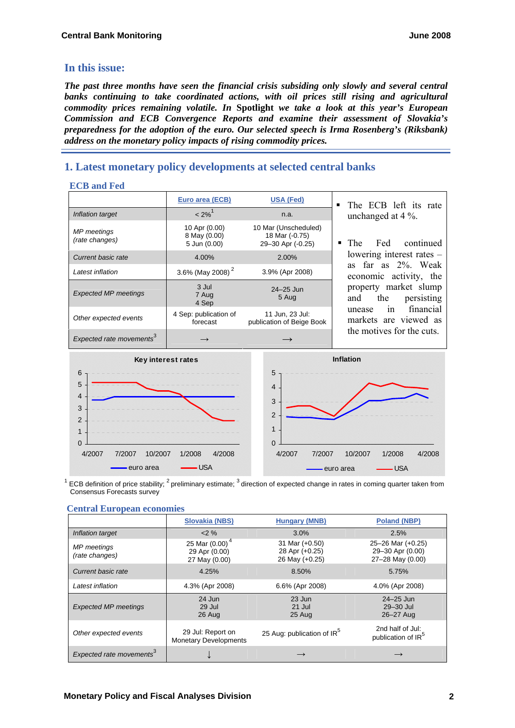# **In this issue:**

*The past three months have seen the financial crisis subsiding only slowly and several central* banks continuing to take coordinated actions, with oil prices still rising and agricultural *commodity prices remaining volatile. In* **Spotlight** *we take a look at this year's European Commission and ECB Convergence Reports and examine their assessment of Slovakia's preparedness for the adoption of the euro. Our selected speech is Irma Rosenberg's (Riksbank) address on the monetary policy impacts of rising commodity prices.* 

# **1. Latest monetary policy developments at selected central banks**

# **ECB and Fed**

|                                      | Euro area (ECB)                               | <b>USA (Fed)</b>                                            | The ECB left its rate<br>$\blacksquare$                                                                                                                                                                                                                                   |
|--------------------------------------|-----------------------------------------------|-------------------------------------------------------------|---------------------------------------------------------------------------------------------------------------------------------------------------------------------------------------------------------------------------------------------------------------------------|
| Inflation target                     | $< 2\%$ <sup>1</sup>                          | n.a.                                                        | unchanged at $4\%$ .<br>Fed<br>continued<br>The<br>lowering interest rates $-$<br>far as 2%. Weak<br>as<br>economic activity, the<br>property market slump<br>persisting<br>the<br>and<br>financial<br>in<br>unease<br>markets are viewed as<br>the motives for the cuts. |
| MP meetings<br>(rate changes)        | 10 Apr (0.00)<br>8 May (0.00)<br>5 Jun (0.00) | 10 Mar (Unscheduled)<br>18 Mar (-0.75)<br>29-30 Apr (-0.25) |                                                                                                                                                                                                                                                                           |
| Current basic rate                   | 4.00%                                         | 2.00%                                                       |                                                                                                                                                                                                                                                                           |
| Latest inflation                     | 3.6% (May 2008) <sup>2</sup>                  | 3.9% (Apr 2008)                                             |                                                                                                                                                                                                                                                                           |
| <b>Expected MP meetings</b>          | 3 Jul<br>7 Aug<br>4 Sep                       | $24 - 25$ Jun<br>5 Aug                                      |                                                                                                                                                                                                                                                                           |
| Other expected events                | 4 Sep: publication of<br>forecast             | 11 Jun, 23 Jul:<br>publication of Beige Book                |                                                                                                                                                                                                                                                                           |
| Expected rate movements <sup>3</sup> |                                               |                                                             |                                                                                                                                                                                                                                                                           |



 $^1$  ECB definition of price stability; <sup>2</sup> preliminary estimate; <sup>3</sup> direction of expected change in rates in coming quarter taken from Consensus Forecasts survey

|                                      | Slovakia (NBS)                                      | <b>Hungary (MNB)</b>                               | Poland (NBP)                                                    |
|--------------------------------------|-----------------------------------------------------|----------------------------------------------------|-----------------------------------------------------------------|
| Inflation target                     | $2\%$                                               | 3.0%                                               | 2.5%                                                            |
| <b>MP</b> meetings<br>(rate changes) | 25 Mar $(0.00)^4$<br>29 Apr (0.00)<br>27 May (0.00) | 31 Mar (+0.50)<br>28 Apr (+0.25)<br>26 May (+0.25) | $25 - 26$ Mar $(+0.25)$<br>29-30 Apr (0.00)<br>27-28 May (0.00) |
| Current basic rate                   | 4.25%                                               | 8.50%                                              | 5.75%                                                           |
| Latest inflation                     | 4.3% (Apr 2008)                                     | 6.6% (Apr 2008)                                    | 4.0% (Apr 2008)                                                 |
| <b>Expected MP meetings</b>          | 24 Jun<br>29 Jul<br>26 Aug                          | 23 Jun<br>21 Jul<br>25 Aug                         | $24 - 25$ Jun<br>29-30 Jul<br>26-27 Aug                         |
| Other expected events                | 29 Jul: Report on<br><b>Monetary Developments</b>   | 25 Aug: publication of IR <sup>5</sup>             | 2nd half of Jul:<br>publication of IR <sup>5</sup>              |
| Expected rate movements <sup>3</sup> |                                                     |                                                    |                                                                 |

# **Central European economies**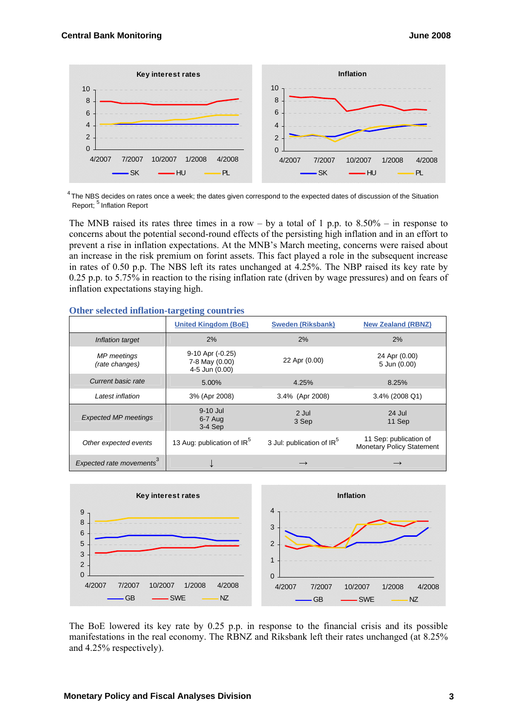

 $4$ The NBS decides on rates once a week; the dates given correspond to the expected dates of discussion of the Situation Report; <sup>5</sup> Inflation Report

The MNB raised its rates three times in a row – by a total of 1 p.p. to  $8.50\%$  – in response to concerns about the potential second-round effects of the persisting high inflation and in an effort to prevent a rise in inflation expectations. At the MNB's March meeting, concerns were raised about an increase in the risk premium on forint assets. This fact played a role in the subsequent increase in rates of 0.50 p.p. The NBS left its rates unchanged at 4.25%. The NBP raised its key rate by 0.25 p.p. to 5.75% in reaction to the rising inflation rate (driven by wage pressures) and on fears of inflation expectations staying high.

|                                      | <b>United Kingdom (BoE)</b>                          | <b>Sweden (Riksbank)</b>              | <b>New Zealand (RBNZ)</b>                                  |
|--------------------------------------|------------------------------------------------------|---------------------------------------|------------------------------------------------------------|
| Inflation target                     | 2%                                                   | 2%                                    | 2%                                                         |
| <b>MP</b> meetings<br>(rate changes) | 9-10 Apr (-0.25)<br>7-8 May (0.00)<br>4-5 Jun (0.00) | 22 Apr (0.00)                         | 24 Apr (0.00)<br>5 Jun (0.00)                              |
| Current basic rate                   | 5.00%                                                | 4.25%                                 | 8.25%                                                      |
| Latest inflation                     | 3% (Apr 2008)                                        | 3.4% (Apr 2008)                       | 3.4% (2008 Q1)                                             |
| <b>Expected MP meetings</b>          | 9-10 Jul<br>6-7 Aug<br>$3-4$ Sep                     | 2 Jul<br>3 Sep                        | 24 Jul<br>11 Sep                                           |
| Other expected events                | 13 Aug: publication of IR <sup>5</sup>               | 3 Jul: publication of IR <sup>5</sup> | 11 Sep: publication of<br><b>Monetary Policy Statement</b> |
| Expected rate movements <sup>3</sup> |                                                      |                                       |                                                            |

#### **Other selected inflation-targeting countries**



The BoE lowered its key rate by 0.25 p.p. in response to the financial crisis and its possible manifestations in the real economy. The RBNZ and Riksbank left their rates unchanged (at 8.25% and 4.25% respectively).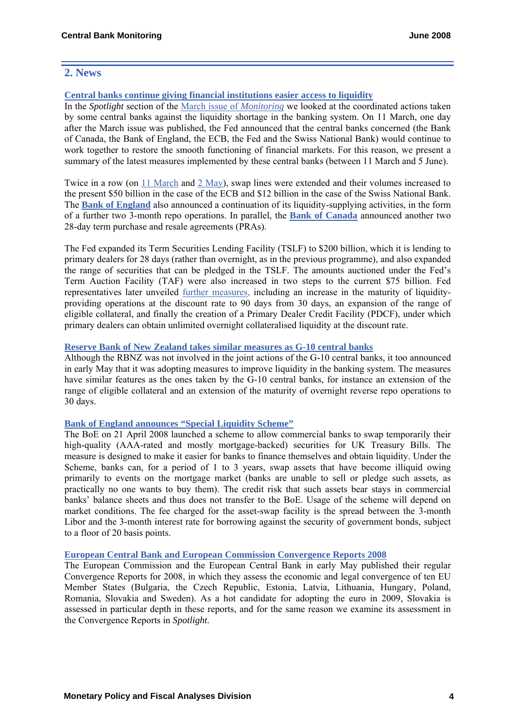# **2. News**

# **Central banks continue giving financial institutions easier access to liquidity**

In the *Spotlight* section of the [March issue of](http://www.cnb.cz/m2export/sites/www.cnb.cz/en/monetary_policy/monitoring/download/0801_cbm.pdf) *Monitoring* we looked at the coordinated actions taken by some central banks against the liquidity shortage in the banking system. On 11 March, one day after the March issue was published, the Fed announced that the central banks concerned (the Bank of Canada, the Bank of England, the ECB, the Fed and the Swiss National Bank) would continue to work together to restore the smooth functioning of financial markets. For this reason, we present a summary of the latest measures implemented by these central banks (between 11 March and 5 June).

Twice in a row (on [11 March](http://www.federalreserve.gov/newsevents/press/monetary/20080311a.htm) and [2 May\)](http://www.federalreserve.gov/newsevents/press/monetary/20080502a.htm), swap lines were extended and their volumes increased to the present \$50 billion in the case of the ECB and \$12 billion in the case of the Swiss National Bank. The **[Bank of England](http://www.bankofengland.co.uk/publications/news/2008/017.htm)** also announced a continuation of its liquidity-supplying activities, in the form of a further two 3-month repo operations. In parallel, the **[Bank of Canada](http://www.bank-banque-canada.ca/en/notices_fmd/2008/not110308.html)** announced another two 28-day term purchase and resale agreements (PRAs).

The Fed expanded its Term Securities Lending Facility (TSLF) to \$200 billion, which it is lending to primary dealers for 28 days (rather than overnight, as in the previous programme), and also expanded the range of securities that can be pledged in the TSLF. The amounts auctioned under the Fed's Term Auction Facility (TAF) were also increased in two steps to the current \$75 billion. Fed representatives later unveiled [further measures](http://www.federalreserve.gov/newsevents/press/all/2008all.htm), including an increase in the maturity of liquidityproviding operations at the discount rate to 90 days from 30 days, an expansion of the range of eligible collateral, and finally the creation of a Primary Dealer Credit Facility (PDCF), under which primary dealers can obtain unlimited overnight collateralised liquidity at the discount rate.

# **[Reserve Bank of New Zealand takes similar measures as G-10 central banks](http://www.rbnz.govt.nz/news/2008/3310253.html)**

Although the RBNZ was not involved in the joint actions of the G-10 central banks, it too announced in early May that it was adopting measures to improve liquidity in the banking system. The measures have similar features as the ones taken by the G-10 central banks, for instance an extension of the range of eligible collateral and an extension of the maturity of overnight reverse repo operations to 30 days.

# **[Bank of England announces "Special Liquidity Scheme"](http://www.bankofengland.co.uk/publications/news/2008/029.htm)**

The BoE on 21 April 2008 launched a scheme to allow commercial banks to swap temporarily their high-quality (AAA-rated and mostly mortgage-backed) securities for UK Treasury Bills. The measure is designed to make it easier for banks to finance themselves and obtain liquidity. Under the Scheme, banks can, for a period of 1 to 3 years, swap assets that have become illiquid owing primarily to events on the mortgage market (banks are unable to sell or pledge such assets, as practically no one wants to buy them). The credit risk that such assets bear stays in commercial banks' balance sheets and thus does not transfer to the BoE. Usage of the scheme will depend on market conditions. The fee charged for the asset-swap facility is the spread between the 3-month Libor and the 3-month interest rate for borrowing against the security of government bonds, subject to a floor of 20 basis points.

# **[European Central Bank](http://www.ecb.int/press/pr/date/2008/html/pr080507.en.html) and [European Commission](http://ec.europa.eu/economy_finance/publications/publication12574_en.pdf) Convergence Reports 2008**

The European Commission and the European Central Bank in early May published their regular Convergence Reports for 2008, in which they assess the economic and legal convergence of ten EU Member States (Bulgaria, the Czech Republic, Estonia, Latvia, Lithuania, Hungary, Poland, Romania, Slovakia and Sweden). As a hot candidate for adopting the euro in 2009, Slovakia is assessed in particular depth in these reports, and for the same reason we examine its assessment in the Convergence Reports in *Spotlight*.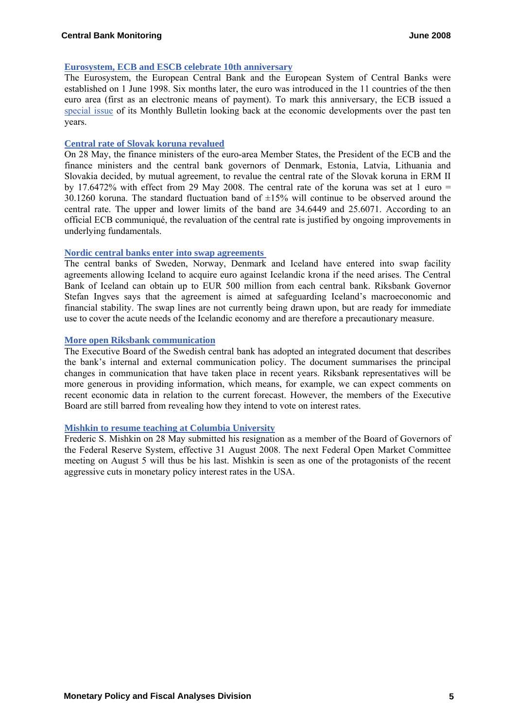#### **[Eurosystem, ECB and ESCB celebrate 10th anniversary](http://www.ecb.int/ecb/10ann/html/index.en.html)**

The Eurosystem, the European Central Bank and the European System of Central Banks were established on 1 June 1998. Six months later, the euro was introduced in the 11 countries of the then euro area (first as an electronic means of payment). To mark this anniversary, the ECB issued a [special issue](http://www.ecb.int/ecb/10ann/html/index.en.html) of its Monthly Bulletin looking back at the economic developments over the past ten years.

#### **[Central rate of Slovak koruna revalued](http://www.ecb.int/press/pr/date/2008/html/pr080528.en.html)**

On 28 May, the finance ministers of the euro-area Member States, the President of the ECB and the finance ministers and the central bank governors of Denmark, Estonia, Latvia, Lithuania and Slovakia decided, by mutual agreement, to revalue the central rate of the Slovak koruna in ERM II by 17.6472% with effect from 29 May 2008. The central rate of the koruna was set at 1 euro  $=$ 30.1260 koruna. The standard fluctuation band of  $\pm 15\%$  will continue to be observed around the central rate. The upper and lower limits of the band are 34.6449 and 25.6071. According to an official ECB communiqué, the revaluation of the central rate is justified by ongoing improvements in underlying fundamentals.

#### **[Nordic central banks enter into swap agreements](http://www.riksbank.com/templates/Page.aspx?id=27991)**

The central banks of Sweden, Norway, Denmark and Iceland have entered into swap facility agreements allowing Iceland to acquire euro against Icelandic krona if the need arises. The Central Bank of Iceland can obtain up to EUR 500 million from each central bank. Riksbank Governor Stefan Ingves says that the agreement is aimed at safeguarding Iceland's macroeconomic and financial stability. The swap lines are not currently being drawn upon, but are ready for immediate use to cover the acute needs of the Icelandic economy and are therefore a precautionary measure.

# **[More open Riksbank communication](http://www.riksbank.com/upload/Dokument_riksbank/Kat_publicerat/Ekonomiska kommentarer/2008/ek_kom_no3eng.pdf)**

The Executive Board of the Swedish central bank has adopted an integrated document that describes the bank's internal and external communication policy. The document summarises the principal changes in communication that have taken place in recent years. Riksbank representatives will be more generous in providing information, which means, for example, we can expect comments on recent economic data in relation to the current forecast. However, the members of the Executive Board are still barred from revealing how they intend to vote on interest rates.

# **[Mishkin to resume teaching at Columbia University](http://www.federalreserve.gov/newsevents/press/other/20080528a.htm)**

Frederic S. Mishkin on 28 May submitted his resignation as a member of the Board of Governors of the Federal Reserve System, effective 31 August 2008. The next Federal Open Market Committee meeting on August 5 will thus be his last. Mishkin is seen as one of the protagonists of the recent aggressive cuts in monetary policy interest rates in the USA.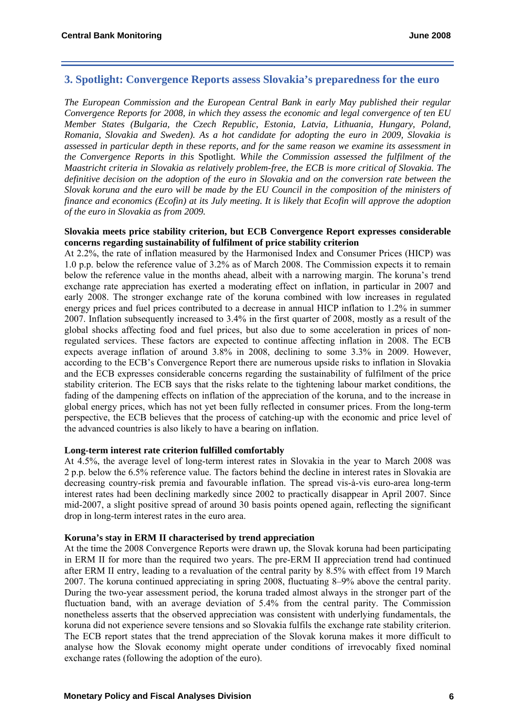# **3. Spotlight: Convergence Reports assess Slovakia's preparedness for the euro**

*The European Commission and the European Central Bank in early May published their regular Convergence Reports for 2008, in which they assess the economic and legal convergence of ten EU Member States (Bulgaria, the Czech Republic, Estonia, Latvia, Lithuania, Hungary, Poland, Romania, Slovakia and Sweden). As a hot candidate for adopting the euro in 2009, Slovakia is assessed in particular depth in these reports, and for the same reason we examine its assessment in the Convergence Reports in this* Spotlight*. While the Commission assessed the fulfilment of the Maastricht criteria in Slovakia as relatively problem-free, the ECB is more critical of Slovakia. The definitive decision on the adoption of the euro in Slovakia and on the conversion rate between the Slovak koruna and the euro will be made by the EU Council in the composition of the ministers of finance and economics (Ecofin) at its July meeting. It is likely that Ecofin will approve the adoption of the euro in Slovakia as from 2009.* 

# **Slovakia meets price stability criterion, but ECB Convergence Report expresses considerable concerns regarding sustainability of fulfilment of price stability criterion**

At 2.2%, the rate of inflation measured by the Harmonised Index and Consumer Prices (HICP) was 1.0 p.p. below the reference value of 3.2% as of March 2008. The Commission expects it to remain below the reference value in the months ahead, albeit with a narrowing margin. The koruna's trend exchange rate appreciation has exerted a moderating effect on inflation, in particular in 2007 and early 2008. The stronger exchange rate of the koruna combined with low increases in regulated energy prices and fuel prices contributed to a decrease in annual HICP inflation to 1.2% in summer 2007. Inflation subsequently increased to 3.4% in the first quarter of 2008, mostly as a result of the global shocks affecting food and fuel prices, but also due to some acceleration in prices of nonregulated services. These factors are expected to continue affecting inflation in 2008. The ECB expects average inflation of around 3.8% in 2008, declining to some 3.3% in 2009. However, according to the ECB's Convergence Report there are numerous upside risks to inflation in Slovakia and the ECB expresses considerable concerns regarding the sustainability of fulfilment of the price stability criterion. The ECB says that the risks relate to the tightening labour market conditions, the fading of the dampening effects on inflation of the appreciation of the koruna, and to the increase in global energy prices, which has not yet been fully reflected in consumer prices. From the long-term perspective, the ECB believes that the process of catching-up with the economic and price level of the advanced countries is also likely to have a bearing on inflation.

# **Long-term interest rate criterion fulfilled comfortably**

At 4.5%, the average level of long-term interest rates in Slovakia in the year to March 2008 was 2 p.p. below the 6.5% reference value. The factors behind the decline in interest rates in Slovakia are decreasing country-risk premia and favourable inflation. The spread vis-à-vis euro-area long-term interest rates had been declining markedly since 2002 to practically disappear in April 2007. Since mid-2007, a slight positive spread of around 30 basis points opened again, reflecting the significant drop in long-term interest rates in the euro area.

#### **Koruna's stay in ERM II characterised by trend appreciation**

At the time the 2008 Convergence Reports were drawn up, the Slovak koruna had been participating in ERM II for more than the required two years. The pre-ERM II appreciation trend had continued after ERM II entry, leading to a revaluation of the central parity by 8.5% with effect from 19 March 2007. The koruna continued appreciating in spring 2008, fluctuating 8–9% above the central parity. During the two-year assessment period, the koruna traded almost always in the stronger part of the fluctuation band, with an average deviation of 5.4% from the central parity. The Commission nonetheless asserts that the observed appreciation was consistent with underlying fundamentals, the koruna did not experience severe tensions and so Slovakia fulfils the exchange rate stability criterion. The ECB report states that the trend appreciation of the Slovak koruna makes it more difficult to analyse how the Slovak economy might operate under conditions of irrevocably fixed nominal exchange rates (following the adoption of the euro).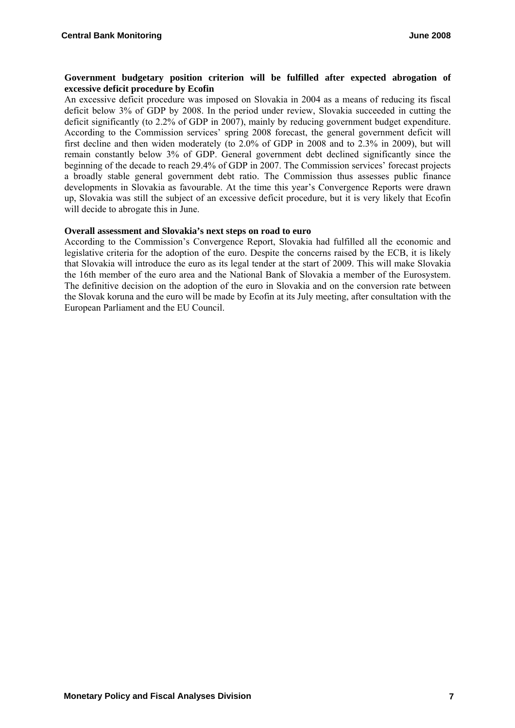# **Government budgetary position criterion will be fulfilled after expected abrogation of excessive deficit procedure by Ecofin**

An excessive deficit procedure was imposed on Slovakia in 2004 as a means of reducing its fiscal deficit below 3% of GDP by 2008. In the period under review, Slovakia succeeded in cutting the deficit significantly (to 2.2% of GDP in 2007), mainly by reducing government budget expenditure. According to the Commission services' spring 2008 forecast, the general government deficit will first decline and then widen moderately (to 2.0% of GDP in 2008 and to 2.3% in 2009), but will remain constantly below 3% of GDP. General government debt declined significantly since the beginning of the decade to reach 29.4% of GDP in 2007. The Commission services' forecast projects a broadly stable general government debt ratio. The Commission thus assesses public finance developments in Slovakia as favourable. At the time this year's Convergence Reports were drawn up, Slovakia was still the subject of an excessive deficit procedure, but it is very likely that Ecofin will decide to abrogate this in June.

# **Overall assessment and Slovakia's next steps on road to euro**

According to the Commission's Convergence Report, Slovakia had fulfilled all the economic and legislative criteria for the adoption of the euro. Despite the concerns raised by the ECB, it is likely that Slovakia will introduce the euro as its legal tender at the start of 2009. This will make Slovakia the 16th member of the euro area and the National Bank of Slovakia a member of the Eurosystem. The definitive decision on the adoption of the euro in Slovakia and on the conversion rate between the Slovak koruna and the euro will be made by Ecofin at its July meeting, after consultation with the European Parliament and the EU Council.